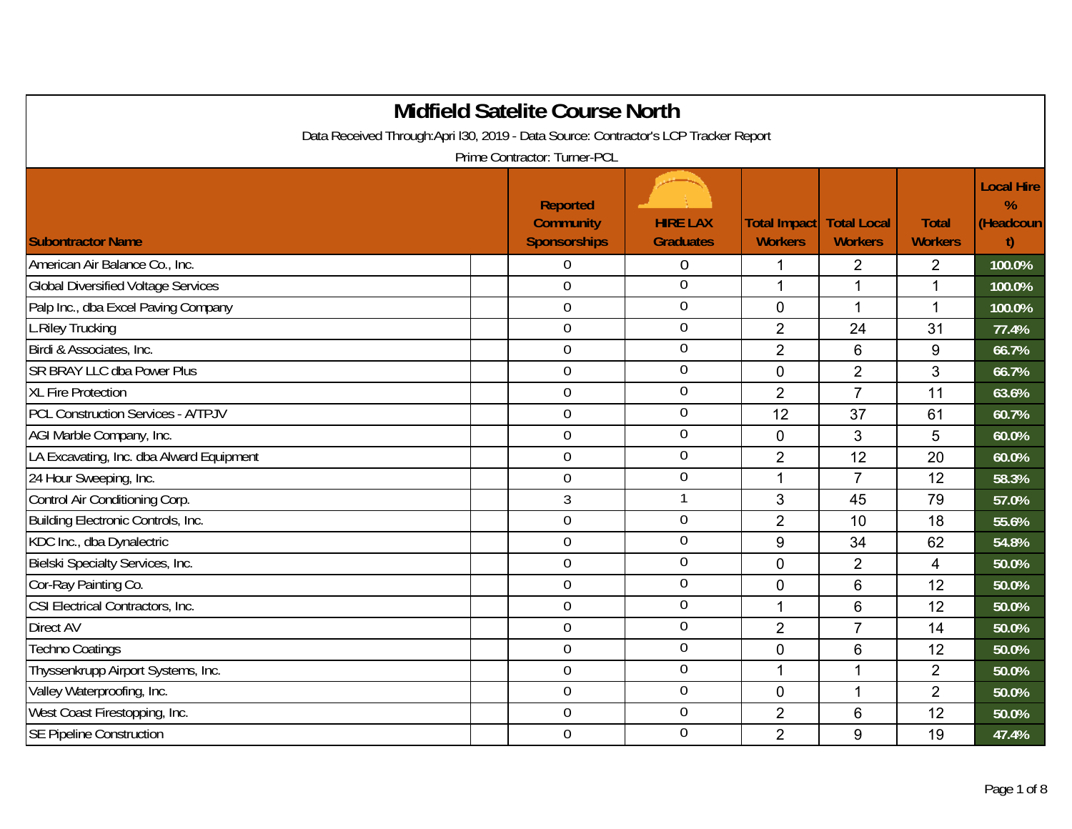|                                                                                     | <b>Midfield Satelite Course North</b>                      |                                     |                                       |                                      |                                |                                     |
|-------------------------------------------------------------------------------------|------------------------------------------------------------|-------------------------------------|---------------------------------------|--------------------------------------|--------------------------------|-------------------------------------|
| Data Received Through:Apri I30, 2019 - Data Source: Contractor's LCP Tracker Report |                                                            |                                     |                                       |                                      |                                |                                     |
|                                                                                     | Prime Contractor: Turner-PCL                               |                                     |                                       |                                      |                                |                                     |
| <b>Subontractor Name</b>                                                            | <b>Reported</b><br><b>Community</b><br><b>Sponsorships</b> | <b>HIRE LAX</b><br><b>Graduates</b> | <b>Total Impact</b><br><b>Workers</b> | <b>Total Local</b><br><b>Workers</b> | <b>Total</b><br><b>Workers</b> | <b>Local Hire</b><br>%<br>(Headcoun |
| American Air Balance Co., Inc.                                                      | 0                                                          | $\boldsymbol{0}$                    | 1                                     | 2                                    | $\overline{2}$                 | 100.0%                              |
| <b>Global Diversified Voltage Services</b>                                          | $\boldsymbol{0}$                                           | $\overline{0}$                      | 1                                     | 1                                    | $\mathbf 1$                    | 100.0%                              |
| Palp Inc., dba Excel Paving Company                                                 | $\boldsymbol{0}$                                           | $\boldsymbol{0}$                    | $\mathbf 0$                           | $\mathbf{1}$                         | $\mathbf 1$                    | 100.0%                              |
| L.Riley Trucking                                                                    | $\mathbf 0$                                                | $\boldsymbol{0}$                    | $\overline{2}$                        | 24                                   | 31                             | 77.4%                               |
| Birdi & Associates, Inc.                                                            | $\mathbf 0$                                                | $\boldsymbol{0}$                    | $\overline{2}$                        | 6                                    | 9                              | 66.7%                               |
| <b>SR BRAY LLC dba Power Plus</b>                                                   | $\overline{0}$                                             | $\boldsymbol{0}$                    | 0                                     | $\overline{2}$                       | 3                              | 66.7%                               |
| <b>XL Fire Protection</b>                                                           | $\mathbf 0$                                                | $\boldsymbol{0}$                    | $\overline{2}$                        | $\overline{7}$                       | 11                             | 63.6%                               |
| <b>PCL Construction Services - A/TPJV</b>                                           | $\overline{0}$                                             | $\boldsymbol{0}$                    | 12                                    | 37                                   | 61                             | 60.7%                               |
| AGI Marble Company, Inc.                                                            | $\mathbf 0$                                                | $\boldsymbol{0}$                    | $\mathbf 0$                           | 3                                    | 5                              | 60.0%                               |
| LA Excavating, Inc. dba Alward Equipment                                            | $\boldsymbol{0}$                                           | $\boldsymbol{0}$                    | $\overline{2}$                        | 12                                   | 20                             | 60.0%                               |
| 24 Hour Sweeping, Inc.                                                              | $\boldsymbol{0}$                                           | $\boldsymbol{0}$                    | 1                                     | $\overline{7}$                       | 12                             | 58.3%                               |
| Control Air Conditioning Corp.                                                      | 3                                                          | $\mathbf{1}$                        | 3                                     | 45                                   | 79                             | 57.0%                               |
| Building Electronic Controls, Inc.                                                  | $\overline{0}$                                             | $\boldsymbol{0}$                    | $\overline{2}$                        | 10                                   | 18                             | 55.6%                               |
| KDC Inc., dba Dynalectric                                                           | $\overline{0}$                                             | $\boldsymbol{0}$                    | 9                                     | 34                                   | 62                             | 54.8%                               |
| Bielski Specialty Services, Inc.                                                    | $\overline{0}$                                             | $\overline{0}$                      | $\mathbf 0$                           | $\overline{2}$                       | 4                              | 50.0%                               |
| Cor-Ray Painting Co.                                                                | $\mathbf 0$                                                | $\overline{0}$                      | $\mathbf 0$                           | $6\phantom{1}$                       | 12                             | 50.0%                               |
| CSI Electrical Contractors, Inc.                                                    | $\mathbf 0$                                                | $\overline{0}$                      | 1                                     | $6\phantom{1}$                       | 12                             | 50.0%                               |
| <b>Direct AV</b>                                                                    | $\mathbf 0$                                                | $\boldsymbol{0}$                    | $\overline{2}$                        | $\overline{7}$                       | 14                             | 50.0%                               |
| <b>Techno Coatings</b>                                                              | $\mathbf 0$                                                | $\boldsymbol{0}$                    | $\mathbf 0$                           | $6\phantom{1}$                       | 12                             | 50.0%                               |
| Thyssenkrupp Airport Systems, Inc.                                                  | $\overline{0}$                                             | $\boldsymbol{0}$                    | 1                                     | 1                                    | $\overline{2}$                 | 50.0%                               |
| Valley Waterproofing, Inc.                                                          | $\mathbf 0$                                                | $\boldsymbol{0}$                    | $\mathbf 0$                           | $\mathbf 1$                          | $\overline{2}$                 | 50.0%                               |
| West Coast Firestopping, Inc.                                                       | $\overline{0}$                                             | $\boldsymbol{0}$                    | $\overline{2}$                        | $6\phantom{1}$                       | 12                             | 50.0%                               |
| <b>SE Pipeline Construction</b>                                                     | $\mathbf 0$                                                | $\mathbf 0$                         | $\overline{2}$                        | 9                                    | 19                             | 47.4%                               |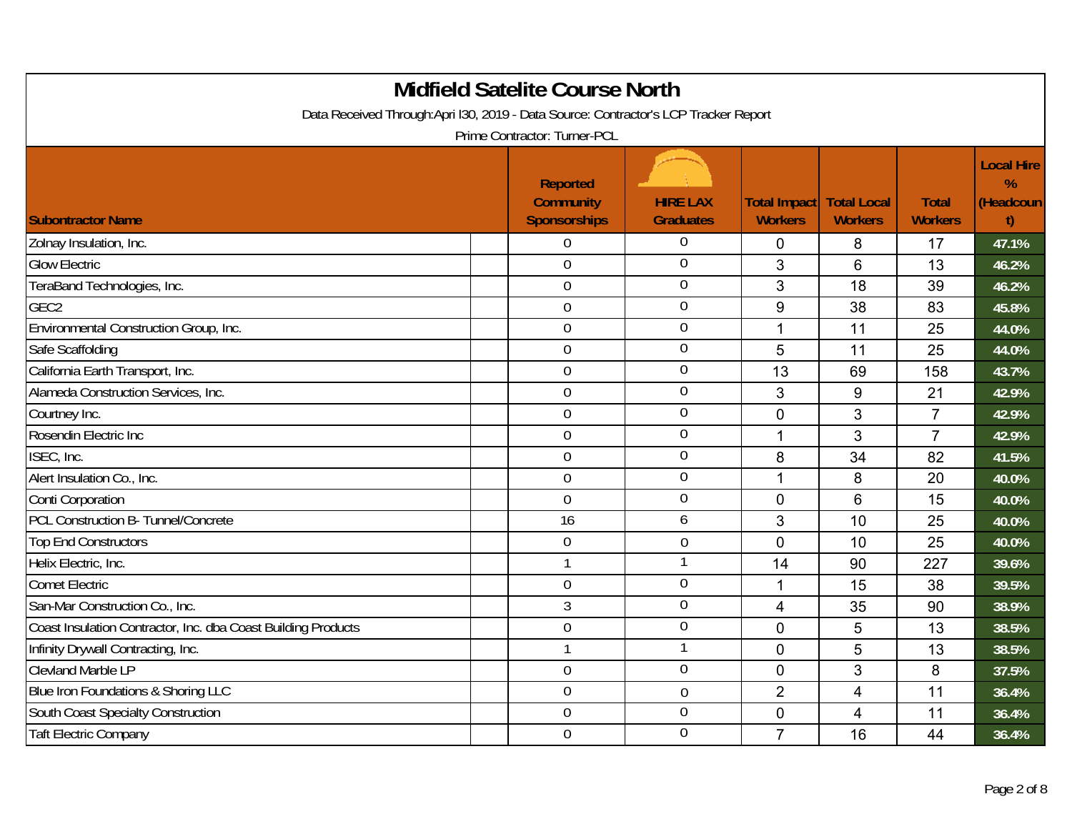| <b>Midfield Satelite Course North</b><br>Data Received Through:Apri I30, 2019 - Data Source: Contractor's LCP Tracker Report |                                                                                     |                                     |                                       |                                      |                                |                                           |  |  |  |
|------------------------------------------------------------------------------------------------------------------------------|-------------------------------------------------------------------------------------|-------------------------------------|---------------------------------------|--------------------------------------|--------------------------------|-------------------------------------------|--|--|--|
| <b>Subontractor Name</b>                                                                                                     | Prime Contractor: Turner-PCL<br><b>Reported</b><br><b>Community</b><br>Sponsorships | <b>HIRE LAX</b><br><b>Graduates</b> | <b>Total Impact</b><br><b>Workers</b> | <b>Total Local</b><br><b>Workers</b> | <b>Total</b><br><b>Workers</b> | <b>Local Hire</b><br>%<br>(Headcoun<br>t) |  |  |  |
| Zolnay Insulation, Inc.                                                                                                      | $\overline{0}$                                                                      | 0                                   | $\overline{0}$                        | 8                                    | 17                             | 47.1%                                     |  |  |  |
| <b>Glow Electric</b>                                                                                                         | $\overline{0}$                                                                      | $\mathbf 0$                         | 3                                     | 6                                    | 13                             | 46.2%                                     |  |  |  |
| TeraBand Technologies, Inc.                                                                                                  | $\mathbf 0$                                                                         | $\overline{0}$                      | 3                                     | 18                                   | 39                             | 46.2%                                     |  |  |  |
| GEC <sub>2</sub>                                                                                                             | $\mathbf 0$                                                                         | $\overline{0}$                      | 9                                     | 38                                   | 83                             | 45.8%                                     |  |  |  |
| Environmental Construction Group, Inc.                                                                                       | $\mathbf 0$                                                                         | $\overline{0}$                      | 1                                     | 11                                   | 25                             | 44.0%                                     |  |  |  |
| Safe Scaffolding                                                                                                             | $\mathbf 0$                                                                         | $\mathbf 0$                         | 5                                     | 11                                   | 25                             | 44.0%                                     |  |  |  |
| California Earth Transport, Inc.                                                                                             | $\mathbf 0$                                                                         | $\boldsymbol{0}$                    | 13                                    | 69                                   | 158                            | 43.7%                                     |  |  |  |
| Alameda Construction Services, Inc.                                                                                          | $\mathbf 0$                                                                         | $\boldsymbol{0}$                    | 3                                     | 9                                    | 21                             | 42.9%                                     |  |  |  |
| Courtney Inc.                                                                                                                | $\mathbf 0$                                                                         | $\boldsymbol{0}$                    | $\pmb{0}$                             | 3                                    | $\overline{7}$                 | 42.9%                                     |  |  |  |
| Rosendin Electric Inc                                                                                                        | $\mathbf 0$                                                                         | $\boldsymbol{0}$                    | $\mathbf 1$                           | 3                                    | $\overline{7}$                 | 42.9%                                     |  |  |  |
| ISEC, Inc.                                                                                                                   | $\mathbf 0$                                                                         | $\boldsymbol{0}$                    | 8                                     | 34                                   | 82                             | 41.5%                                     |  |  |  |
| Alert Insulation Co., Inc.                                                                                                   | $\mathbf 0$                                                                         | $\boldsymbol{0}$                    | $\mathbf{1}$                          | 8                                    | 20                             | 40.0%                                     |  |  |  |
| Conti Corporation                                                                                                            | $\mathbf 0$                                                                         | $\boldsymbol{0}$                    | $\mathbf 0$                           | 6                                    | 15                             | 40.0%                                     |  |  |  |
| PCL Construction B- Tunnel/Concrete                                                                                          | 16                                                                                  | 6                                   | 3                                     | 10                                   | 25                             | 40.0%                                     |  |  |  |
| <b>Top End Constructors</b>                                                                                                  | $\mathbf 0$                                                                         | $\boldsymbol{0}$                    | $\mathbf 0$                           | 10                                   | 25                             | 40.0%                                     |  |  |  |
| Helix Electric, Inc.                                                                                                         | 1                                                                                   | $\mathbf{1}$                        | 14                                    | 90                                   | 227                            | 39.6%                                     |  |  |  |
| <b>Comet Electric</b>                                                                                                        | $\mathbf 0$                                                                         | $\overline{0}$                      | $\mathbf{1}$                          | 15                                   | 38                             | 39.5%                                     |  |  |  |
| San-Mar Construction Co., Inc.                                                                                               | $\mathfrak{Z}$                                                                      | $\overline{0}$                      | $\overline{4}$                        | 35                                   | 90                             | 38.9%                                     |  |  |  |
| Coast Insulation Contractor, Inc. dba Coast Building Products                                                                | $\mathbf 0$                                                                         | $\boldsymbol{0}$                    | $\mathbf 0$                           | 5                                    | 13                             | 38.5%                                     |  |  |  |
| Infinity Drywall Contracting, Inc.                                                                                           | 1                                                                                   | $\mathbf{1}$                        | $\mathbf 0$                           | 5                                    | 13                             | 38.5%                                     |  |  |  |
| <b>Clevland Marble LP</b>                                                                                                    | $\mathbf 0$                                                                         | $\boldsymbol{0}$                    | $\pmb{0}$                             | 3                                    | 8                              | 37.5%                                     |  |  |  |
| Blue Iron Foundations & Shoring LLC                                                                                          | $\mathbf 0$                                                                         | $\boldsymbol{0}$                    | $\overline{2}$                        | 4                                    | 11                             | 36.4%                                     |  |  |  |
| South Coast Specialty Construction                                                                                           | $\overline{0}$                                                                      | $\mathbf 0$                         | $\mathbf 0$                           | $\overline{4}$                       | 11                             | 36.4%                                     |  |  |  |
| <b>Taft Electric Company</b>                                                                                                 | $\mathbf 0$                                                                         | $\mathbf 0$                         | $\overline{7}$                        | 16                                   | 44                             | 36.4%                                     |  |  |  |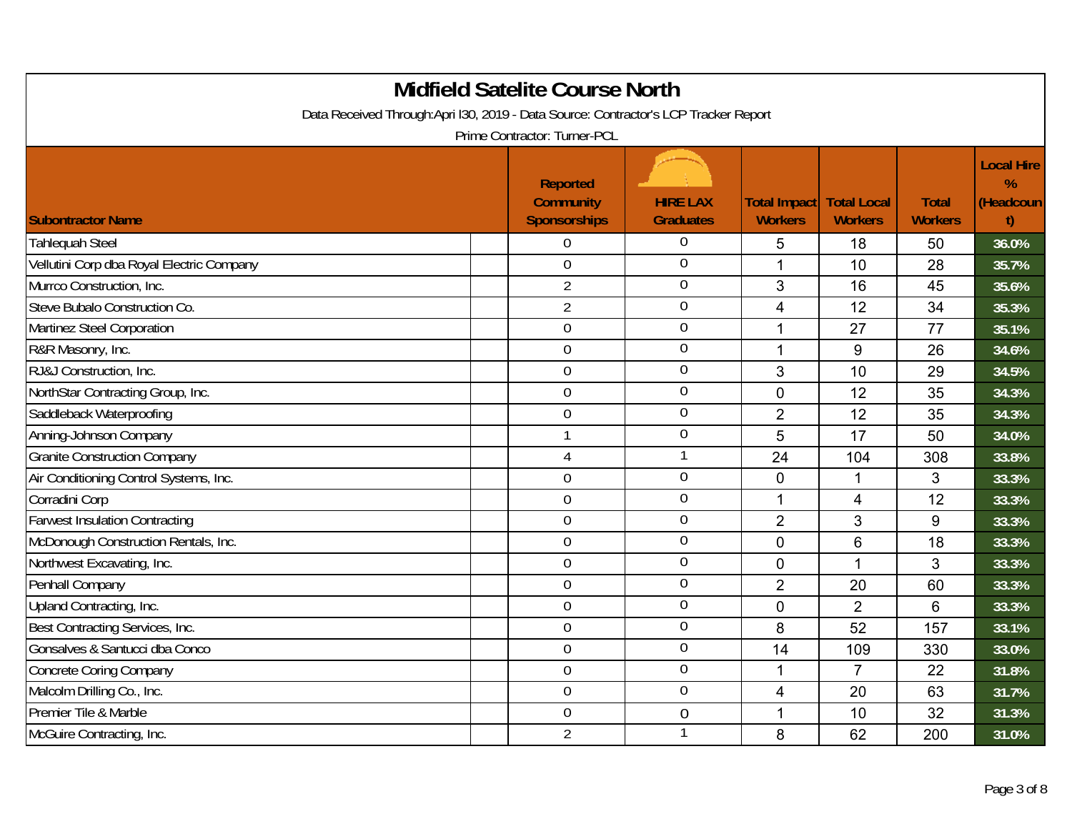| <b>Midfield Satelite Course North</b><br>Data Received Through:Apri I30, 2019 - Data Source: Contractor's LCP Tracker Report<br>Prime Contractor: Turner-PCL |  |                                                     |                                     |                                       |                                      |                                |                                                       |  |  |
|--------------------------------------------------------------------------------------------------------------------------------------------------------------|--|-----------------------------------------------------|-------------------------------------|---------------------------------------|--------------------------------------|--------------------------------|-------------------------------------------------------|--|--|
| <b>Subontractor Name</b>                                                                                                                                     |  | <b>Reported</b><br><b>Community</b><br>Sponsorships | <b>HIRE LAX</b><br><b>Graduates</b> | <b>Total Impact</b><br><b>Workers</b> | <b>Total Local</b><br><b>Workers</b> | <b>Total</b><br><b>Workers</b> | <b>Local Hire</b><br>$\frac{9}{6}$<br>(Headcoun<br>t) |  |  |
| <b>Tahlequah Steel</b>                                                                                                                                       |  | $\Omega$                                            | 0                                   | 5                                     | 18                                   | 50                             | 36.0%                                                 |  |  |
| Vellutini Corp dba Royal Electric Company                                                                                                                    |  | $\theta$                                            | $\overline{0}$                      | $\mathbf{1}$                          | 10                                   | 28                             | 35.7%                                                 |  |  |
| Murrco Construction, Inc.                                                                                                                                    |  | $\overline{2}$                                      | $\overline{0}$                      | 3                                     | 16                                   | 45                             | 35.6%                                                 |  |  |
| Steve Bubalo Construction Co.                                                                                                                                |  | $\overline{2}$                                      | $\boldsymbol{0}$                    | $\overline{4}$                        | 12                                   | 34                             | 35.3%                                                 |  |  |
| Martinez Steel Corporation                                                                                                                                   |  | $\overline{0}$                                      | $\overline{0}$                      | 1                                     | 27                                   | 77                             | 35.1%                                                 |  |  |
| R&R Masonry, Inc.                                                                                                                                            |  | $\mathbf 0$                                         | $\overline{0}$                      | $\mathbf 1$                           | 9                                    | 26                             | 34.6%                                                 |  |  |
| RJ&J Construction, Inc.                                                                                                                                      |  | $\mathbf 0$                                         | $\mathbf 0$                         | 3                                     | 10                                   | 29                             | 34.5%                                                 |  |  |
| NorthStar Contracting Group, Inc.                                                                                                                            |  | $\overline{0}$                                      | $\overline{0}$                      | $\mathbf 0$                           | 12                                   | 35                             | 34.3%                                                 |  |  |
| Saddleback Waterproofing                                                                                                                                     |  | $\boldsymbol{0}$                                    | $\overline{0}$                      | $\overline{2}$                        | 12                                   | 35                             | 34.3%                                                 |  |  |
| Anning-Johnson Company                                                                                                                                       |  | $\mathbf{1}$                                        | $\boldsymbol{0}$                    | 5                                     | 17                                   | 50                             | 34.0%                                                 |  |  |
| <b>Granite Construction Company</b>                                                                                                                          |  | $\overline{4}$                                      | $\mathbf{1}$                        | 24                                    | 104                                  | 308                            | 33.8%                                                 |  |  |
| Air Conditioning Control Systems, Inc.                                                                                                                       |  | $\mathbf 0$                                         | $\overline{0}$                      | $\mathbf 0$                           |                                      | 3                              | 33.3%                                                 |  |  |
| Corradini Corp                                                                                                                                               |  | $\overline{0}$                                      | $\overline{0}$                      | $\mathbf{1}$                          | $\overline{4}$                       | 12                             | 33.3%                                                 |  |  |
| <b>Farwest Insulation Contracting</b>                                                                                                                        |  | $\overline{0}$                                      | $0\,$                               | $\overline{2}$                        | 3                                    | 9                              | 33.3%                                                 |  |  |
| McDonough Construction Rentals, Inc.                                                                                                                         |  | $\mathbf 0$                                         | $0\,$                               | $\mathbf 0$                           | 6                                    | 18                             | 33.3%                                                 |  |  |
| Northwest Excavating, Inc.                                                                                                                                   |  | $\mathbf 0$                                         | $\overline{0}$                      | $\pmb{0}$                             | $\mathbf{1}$                         | 3                              | 33.3%                                                 |  |  |
| Penhall Company                                                                                                                                              |  | $\overline{0}$                                      | $\overline{0}$                      | $\overline{2}$                        | 20                                   | 60                             | 33.3%                                                 |  |  |
| Upland Contracting, Inc.                                                                                                                                     |  | $\overline{0}$                                      | $\overline{0}$                      | $\mathbf 0$                           | $\overline{2}$                       | 6                              | 33.3%                                                 |  |  |
| Best Contracting Services, Inc.                                                                                                                              |  | $\mathbf 0$                                         | $\mathbf 0$                         | 8                                     | 52                                   | 157                            | 33.1%                                                 |  |  |
| Gonsalves & Santucci dba Conco                                                                                                                               |  | $\overline{0}$                                      | $\boldsymbol{0}$                    | 14                                    | 109                                  | 330                            | 33.0%                                                 |  |  |
| <b>Concrete Coring Company</b>                                                                                                                               |  | $\mathbf 0$                                         | $\boldsymbol{0}$                    | 1                                     | $\overline{7}$                       | 22                             | 31.8%                                                 |  |  |
| Malcolm Drilling Co., Inc.                                                                                                                                   |  | $\mathbf 0$                                         | $\boldsymbol{0}$                    | 4                                     | 20                                   | 63                             | 31.7%                                                 |  |  |
| Premier Tile & Marble                                                                                                                                        |  | $\overline{0}$                                      | $\boldsymbol{0}$                    | $\overline{1}$                        | 10                                   | 32                             | 31.3%                                                 |  |  |
| McGuire Contracting, Inc.                                                                                                                                    |  | $\overline{2}$                                      | $\mathbf{1}$                        | 8                                     | 62                                   | 200                            | 31.0%                                                 |  |  |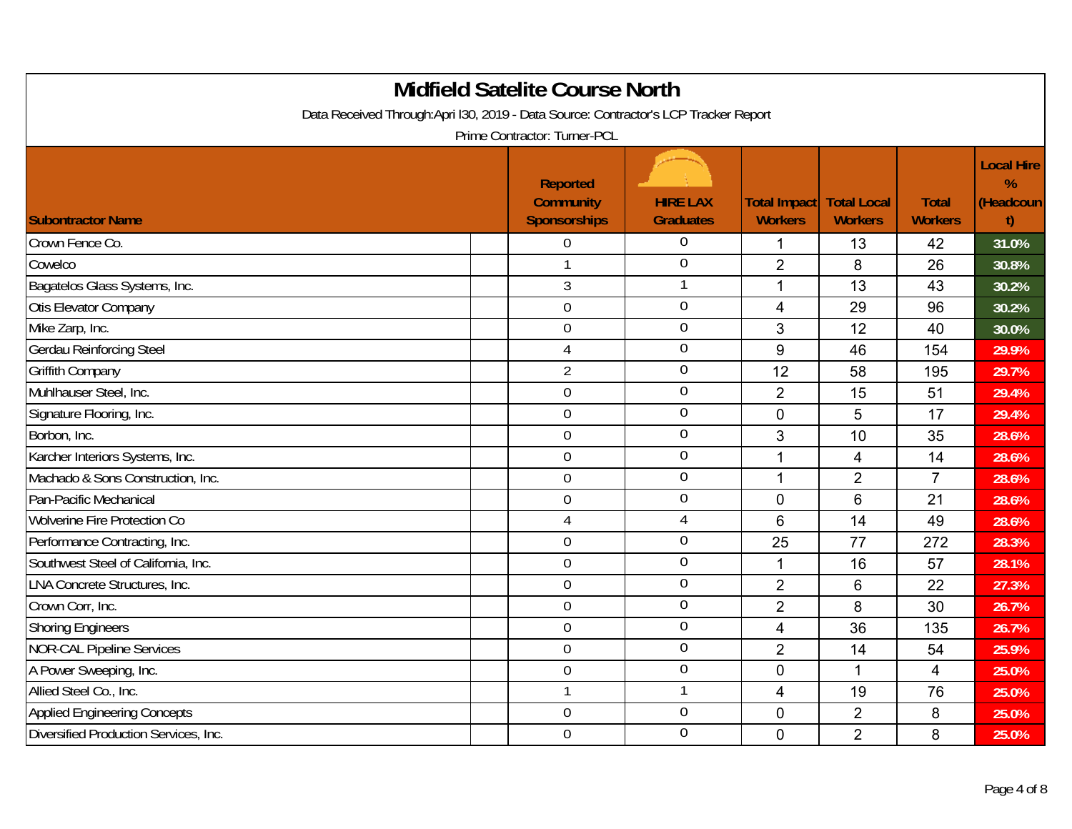| <b>Midfield Satelite Course North</b><br>Data Received Through:Apri I30, 2019 - Data Source: Contractor's LCP Tracker Report<br>Prime Contractor: Turner-PCL |                                                            |                                     |                                |                                      |                                |                                           |  |  |  |
|--------------------------------------------------------------------------------------------------------------------------------------------------------------|------------------------------------------------------------|-------------------------------------|--------------------------------|--------------------------------------|--------------------------------|-------------------------------------------|--|--|--|
| <b>Subontractor Name</b>                                                                                                                                     | <b>Reported</b><br><b>Community</b><br><b>Sponsorships</b> | <b>HIRE LAX</b><br><b>Graduates</b> | Total Impact<br><b>Workers</b> | <b>Total Local</b><br><b>Workers</b> | <b>Total</b><br><b>Workers</b> | <b>Local Hire</b><br>%<br>(Headcoun<br>t) |  |  |  |
| Crown Fence Co.                                                                                                                                              | 0                                                          | $\overline{0}$                      | $\mathbf 1$                    | 13                                   | 42                             | 31.0%                                     |  |  |  |
| Cowelco                                                                                                                                                      | 1                                                          | $\boldsymbol{0}$                    | $\overline{2}$                 | 8                                    | 26                             | 30.8%                                     |  |  |  |
| Bagatelos Glass Systems, Inc.                                                                                                                                | $\sqrt{3}$                                                 | 1                                   | $\mathbf{1}$                   | 13                                   | 43                             | 30.2%                                     |  |  |  |
| Otis Elevator Company                                                                                                                                        | $\mathbf 0$                                                | $\overline{0}$                      | $\overline{4}$                 | 29                                   | 96                             | 30.2%                                     |  |  |  |
| Mike Zarp, Inc.                                                                                                                                              | $\overline{0}$                                             | $\overline{0}$                      | 3                              | 12                                   | 40                             | 30.0%                                     |  |  |  |
| Gerdau Reinforcing Steel                                                                                                                                     | $\overline{4}$                                             | $\boldsymbol{0}$                    | $9\,$                          | 46                                   | 154                            | 29.9%                                     |  |  |  |
| <b>Griffith Company</b>                                                                                                                                      | $\overline{2}$                                             | $\mathbf 0$                         | 12                             | 58                                   | 195                            | 29.7%                                     |  |  |  |
| Muhlhauser Steel, Inc.                                                                                                                                       | $\mathbf 0$                                                | $\boldsymbol{0}$                    | $\overline{2}$                 | 15                                   | 51                             | 29.4%                                     |  |  |  |
| Signature Flooring, Inc.                                                                                                                                     | $\mathbf 0$                                                | $\boldsymbol{0}$                    | $\mathbf 0$                    | 5                                    | 17                             | 29.4%                                     |  |  |  |
| Borbon, Inc.                                                                                                                                                 | $\mathbf 0$                                                | $\boldsymbol{0}$                    | 3                              | 10                                   | 35                             | 28.6%                                     |  |  |  |
| Karcher Interiors Systems, Inc.                                                                                                                              | $\overline{0}$                                             | $\boldsymbol{0}$                    | 1                              | 4                                    | 14                             | 28.6%                                     |  |  |  |
| Machado & Sons Construction, Inc.                                                                                                                            | $\overline{0}$                                             | $\boldsymbol{0}$                    | $\overline{1}$                 | $\overline{2}$                       | $\overline{7}$                 | 28.6%                                     |  |  |  |
| Pan-Pacific Mechanical                                                                                                                                       | $\mathbf 0$                                                | $\boldsymbol{0}$                    | $\overline{0}$                 | 6                                    | 21                             | 28.6%                                     |  |  |  |
| Wolverine Fire Protection Co                                                                                                                                 | $\overline{4}$                                             | $\overline{4}$                      | $6\phantom{1}6$                | 14                                   | 49                             | 28.6%                                     |  |  |  |
| Performance Contracting, Inc.                                                                                                                                | $\mathbf 0$                                                | $\boldsymbol{0}$                    | 25                             | 77                                   | 272                            | 28.3%                                     |  |  |  |
| Southwest Steel of California, Inc.                                                                                                                          | $\mathbf 0$                                                | $\overline{0}$                      | $\mathbf{1}$                   | 16                                   | 57                             | 28.1%                                     |  |  |  |
| <b>LNA Concrete Structures, Inc.</b>                                                                                                                         | $\overline{0}$                                             | $\overline{0}$                      | $\overline{2}$                 | 6                                    | 22                             | 27.3%                                     |  |  |  |
| Crown Corr, Inc.                                                                                                                                             | $\mathbf 0$                                                | $\boldsymbol{0}$                    | $\overline{2}$                 | 8                                    | 30                             | 26.7%                                     |  |  |  |
| <b>Shoring Engineers</b>                                                                                                                                     | $\mathbf 0$                                                | $\boldsymbol{0}$                    | 4                              | 36                                   | 135                            | 26.7%                                     |  |  |  |
| <b>NOR-CAL Pipeline Services</b>                                                                                                                             | $\mathbf 0$                                                | $\mathbf 0$                         | $\overline{2}$                 | 14                                   | 54                             | 25.9%                                     |  |  |  |
| A Power Sweeping, Inc.                                                                                                                                       | $\mathbf 0$                                                | $\overline{0}$                      | $\pmb{0}$                      | 1                                    | $\overline{4}$                 | 25.0%                                     |  |  |  |
| Allied Steel Co., Inc.                                                                                                                                       | $\mathbf{1}$                                               | 1                                   | 4                              | 19                                   | 76                             | 25.0%                                     |  |  |  |
| <b>Applied Engineering Concepts</b>                                                                                                                          | $\overline{0}$                                             | $\overline{0}$                      | $\mathbf 0$                    | $\overline{2}$                       | 8                              | 25.0%                                     |  |  |  |
| Diversified Production Services, Inc.                                                                                                                        | $\mathbf 0$                                                | $\mathbf 0$                         | $\overline{0}$                 | $\overline{2}$                       | 8                              | 25.0%                                     |  |  |  |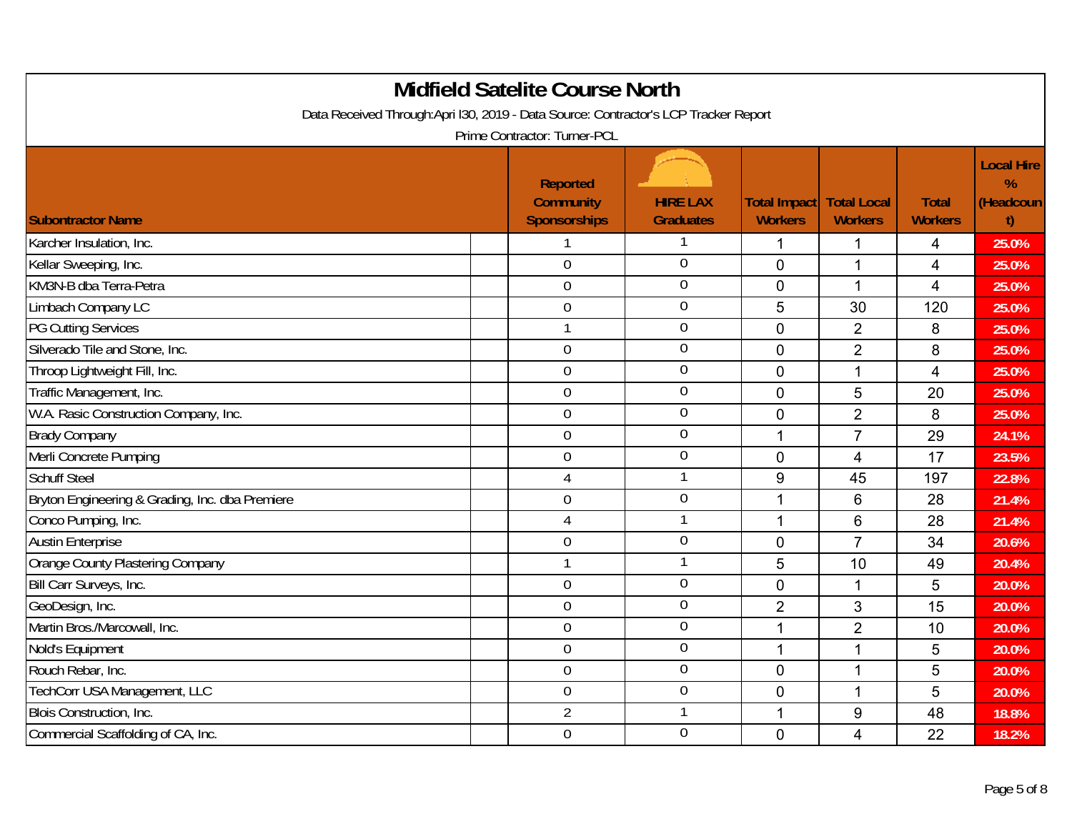| <b>Midfield Satelite Course North</b><br>Data Received Through:Apri I30, 2019 - Data Source: Contractor's LCP Tracker Report<br>Prime Contractor: Turner-PCL |                                                            |                                     |                                |                                      |                                |                                           |  |  |  |
|--------------------------------------------------------------------------------------------------------------------------------------------------------------|------------------------------------------------------------|-------------------------------------|--------------------------------|--------------------------------------|--------------------------------|-------------------------------------------|--|--|--|
| <b>Subontractor Name</b>                                                                                                                                     | <b>Reported</b><br><b>Community</b><br><b>Sponsorships</b> | <b>HIRE LAX</b><br><b>Graduates</b> | Total Impact<br><b>Workers</b> | <b>Total Local</b><br><b>Workers</b> | <b>Total</b><br><b>Workers</b> | <b>Local Hire</b><br>%<br>(Headcoun<br>t) |  |  |  |
| Karcher Insulation, Inc.                                                                                                                                     |                                                            |                                     | $\mathbf 1$                    | 1                                    | 4                              | 25.0%                                     |  |  |  |
| Kellar Sweeping, Inc.                                                                                                                                        | $\overline{0}$                                             | $\overline{0}$                      | $\overline{0}$                 | 1                                    | 4                              | 25.0%                                     |  |  |  |
| KM3N-B dba Terra-Petra                                                                                                                                       | $\mathbf 0$                                                | $\overline{0}$                      | $\mathbf 0$                    | $\mathbf 1$                          | $\overline{4}$                 | 25.0%                                     |  |  |  |
| Limbach Company LC                                                                                                                                           | $\mathbf 0$                                                | $\boldsymbol{0}$                    | 5                              | 30                                   | 120                            | 25.0%                                     |  |  |  |
| PG Cutting Services                                                                                                                                          | $\mathbf{1}$                                               | $\overline{0}$                      | $\mathbf 0$                    | $\overline{2}$                       | 8                              | 25.0%                                     |  |  |  |
| Silverado Tile and Stone, Inc.                                                                                                                               | $\mathbf 0$                                                | $\overline{0}$                      | $\overline{0}$                 | $\overline{2}$                       | 8                              | 25.0%                                     |  |  |  |
| Throop Lightweight Fill, Inc.                                                                                                                                | $\mathbf 0$                                                | $\mathbf 0$                         | $\mathbf 0$                    | 1                                    | $\overline{4}$                 | 25.0%                                     |  |  |  |
| Traffic Management, Inc.                                                                                                                                     | $\overline{0}$                                             | $\overline{0}$                      | $\mathbf 0$                    | 5                                    | 20                             | 25.0%                                     |  |  |  |
| W.A. Rasic Construction Company, Inc.                                                                                                                        | $\mathbf 0$                                                | $\boldsymbol{0}$                    | $\mathbf 0$                    | $\overline{2}$                       | 8                              | 25.0%                                     |  |  |  |
| <b>Brady Company</b>                                                                                                                                         | $\mathbf 0$                                                | $0\,$                               | 1                              | $\overline{7}$                       | 29                             | 24.1%                                     |  |  |  |
| Merli Concrete Pumping                                                                                                                                       | $\overline{0}$                                             | $\overline{0}$                      | $\overline{0}$                 | 4                                    | 17                             | 23.5%                                     |  |  |  |
| <b>Schuff Steel</b>                                                                                                                                          | $\overline{4}$                                             | $\mathbf{1}$                        | 9                              | 45                                   | 197                            | 22.8%                                     |  |  |  |
| Bryton Engineering & Grading, Inc. dba Premiere                                                                                                              | $\overline{0}$                                             | $\boldsymbol{0}$                    | 1                              | 6                                    | 28                             | 21.4%                                     |  |  |  |
| Conco Pumping, Inc.                                                                                                                                          | $\overline{4}$                                             | 1                                   | $\mathbf 1$                    | 6                                    | 28                             | 21.4%                                     |  |  |  |
| <b>Austin Enterprise</b>                                                                                                                                     | $\boldsymbol{0}$                                           | $\boldsymbol{0}$                    | $\mathbf 0$                    | $\overline{7}$                       | 34                             | 20.6%                                     |  |  |  |
| Orange County Plastering Company                                                                                                                             | $\mathbf{1}$                                               | 1                                   | $\overline{5}$                 | 10                                   | 49                             | 20.4%                                     |  |  |  |
| Bill Carr Surveys, Inc.                                                                                                                                      | $\overline{0}$                                             | $\overline{0}$                      | $\overline{0}$                 | 1                                    | 5                              | 20.0%                                     |  |  |  |
| GeoDesign, Inc.                                                                                                                                              | $\overline{0}$                                             | $\overline{0}$                      | $\overline{2}$                 | 3                                    | 15                             | 20.0%                                     |  |  |  |
| Martin Bros./Marcowall, Inc.                                                                                                                                 | $\mathbf 0$                                                | $\mathbf 0$                         | 1                              | $\overline{2}$                       | 10                             | 20.0%                                     |  |  |  |
| Nold's Equipment                                                                                                                                             | $\mathbf 0$                                                | $0\,$                               | $\overline{1}$                 |                                      | 5                              | 20.0%                                     |  |  |  |
| Rouch Rebar, Inc.                                                                                                                                            | $\mathbf 0$                                                | $0\,$                               | $\mathbf 0$                    | 1                                    | 5                              | 20.0%                                     |  |  |  |
| TechCorr USA Management, LLC                                                                                                                                 | $\boldsymbol{0}$                                           | $\boldsymbol{0}$                    | $\mathbf 0$                    | 1                                    | 5                              | 20.0%                                     |  |  |  |
| Blois Construction, Inc.                                                                                                                                     | $\overline{2}$                                             | 1                                   | $\mathbf{1}$                   | 9                                    | 48                             | 18.8%                                     |  |  |  |
| Commercial Scaffolding of CA, Inc.                                                                                                                           | $\mathbf 0$                                                | $\mathbf 0$                         | $\overline{0}$                 | 4                                    | 22                             | 18.2%                                     |  |  |  |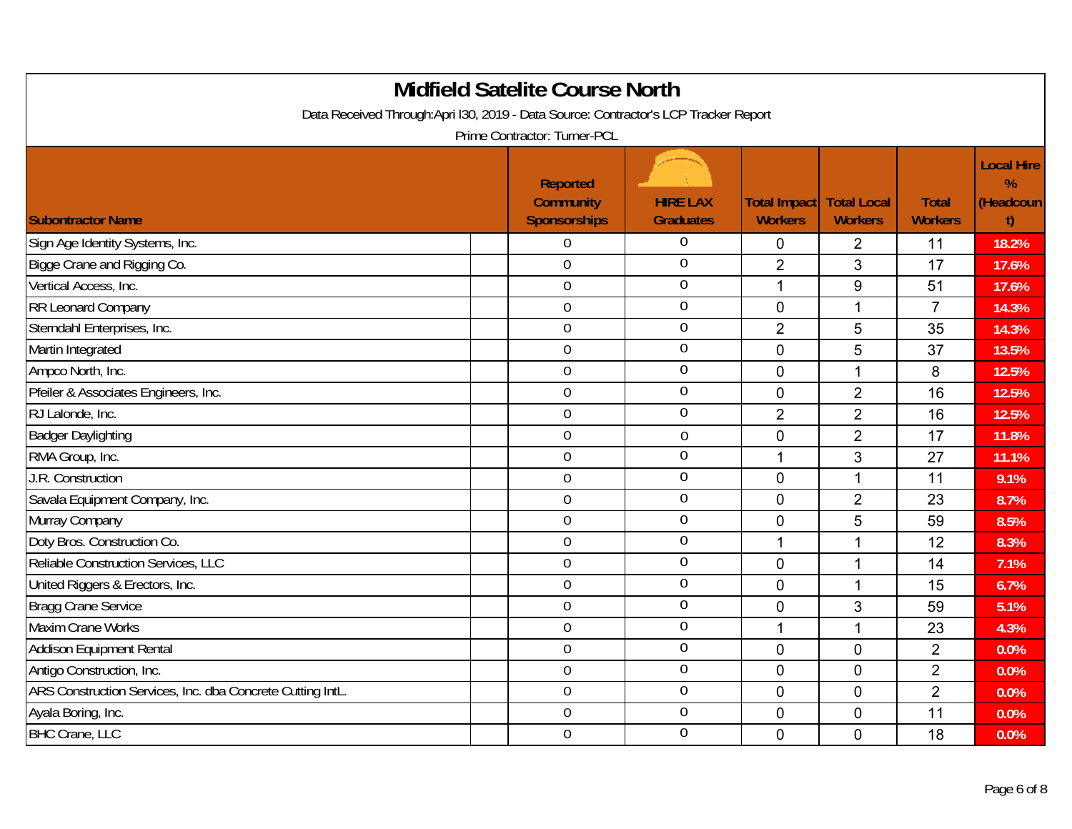| <b>Midfield Satelite Course North</b><br>Data Received Through:Apri I30, 2019 - Data Source: Contractor's LCP Tracker Report |                                                                     |                  |                |                    |                |                                        |  |  |
|------------------------------------------------------------------------------------------------------------------------------|---------------------------------------------------------------------|------------------|----------------|--------------------|----------------|----------------------------------------|--|--|
|                                                                                                                              | Prime Contractor: Turner-PCL<br><b>Reported</b><br><b>Community</b> | <b>HIRE LAX</b>  | Total Impact   | <b>Total Local</b> | <b>Total</b>   | <b>Local Hire</b><br>$\%$<br>(Headcoun |  |  |
| <b>Subontractor Name</b>                                                                                                     | <b>Sponsorships</b>                                                 | <b>Graduates</b> | <b>Workers</b> | <b>Workers</b>     | <b>Workers</b> | t)                                     |  |  |
| Sign Age Identity Systems, Inc.                                                                                              | 0                                                                   | 0                | $\mathbf 0$    | $\overline{2}$     | 11             | 18.2%                                  |  |  |
| Bigge Crane and Rigging Co.                                                                                                  | $\overline{0}$                                                      | $\mathbf 0$      | $\overline{2}$ | 3                  | 17             | 17.6%                                  |  |  |
| Vertical Access, Inc.                                                                                                        | $\boldsymbol{0}$                                                    | $\overline{0}$   | $\overline{1}$ | 9                  | 51             | 17.6%                                  |  |  |
| RR Leonard Company                                                                                                           | $\mathbf 0$                                                         | $\boldsymbol{0}$ | $\mathbf 0$    | $\mathbf{1}$       | $\overline{7}$ | 14.3%                                  |  |  |
| Sterndahl Enterprises, Inc.                                                                                                  | $\overline{0}$                                                      | $\overline{0}$   | $\overline{2}$ | 5                  | 35             | 14.3%                                  |  |  |
| Martin Integrated                                                                                                            | $\mathbf 0$                                                         | $\overline{0}$   | $\overline{0}$ | 5                  | 37             | 13.5%                                  |  |  |
| Ampco North, Inc.                                                                                                            | $\mathbf 0$                                                         | $\overline{0}$   | $\mathbf 0$    | $\mathbf{1}$       | 8              | 12.5%                                  |  |  |
| Pfeiler & Associates Engineers, Inc.                                                                                         | $\overline{0}$                                                      | $\boldsymbol{0}$ | $\mathbf 0$    | $\overline{2}$     | 16             | 12.5%                                  |  |  |
| RJ Lalonde, Inc.                                                                                                             | $\boldsymbol{0}$                                                    | $\overline{0}$   | $\overline{2}$ | $\overline{2}$     | 16             | 12.5%                                  |  |  |
| <b>Badger Daylighting</b>                                                                                                    | $\mathbf 0$                                                         | $\boldsymbol{0}$ | $\mathbf 0$    | $\overline{2}$     | 17             | 11.8%                                  |  |  |
| RMA Group, Inc.                                                                                                              | $\overline{0}$                                                      | $\overline{0}$   | $\mathbf{1}$   | 3                  | 27             | 11.1%                                  |  |  |
| J.R. Construction                                                                                                            | $\mathbf 0$                                                         | $\overline{0}$   | $\overline{0}$ | 1                  | 11             | 9.1%                                   |  |  |
| Savala Equipment Company, Inc.                                                                                               | $\mathbf 0$                                                         | $\overline{0}$   | $\mathbf 0$    | $\overline{2}$     | 23             | 8.7%                                   |  |  |
| Murray Company                                                                                                               | $\overline{0}$                                                      | $\overline{0}$   | $\mathbf 0$    | 5                  | 59             | 8.5%                                   |  |  |
| Doty Bros. Construction Co.                                                                                                  | $\mathbf 0$                                                         | $\overline{0}$   | $\overline{1}$ |                    | 12             | 8.3%                                   |  |  |
| Reliable Construction Services, LLC                                                                                          | $\mathbf 0$                                                         | $\overline{0}$   | $\mathbf 0$    | 1                  | 14             | 7.1%                                   |  |  |
| United Riggers & Erectors, Inc.                                                                                              | $\overline{0}$                                                      | $\overline{0}$   | $\overline{0}$ | 1                  | 15             | 6.7%                                   |  |  |
| <b>Bragg Crane Service</b>                                                                                                   | $\mathbf 0$                                                         | $\boldsymbol{0}$ | $\mathbf 0$    | 3                  | 59             | 5.1%                                   |  |  |
| <b>Maxim Crane Works</b>                                                                                                     | $\mathbf 0$                                                         | $\mathbf 0$      | $\mathbf 1$    | 1                  | 23             | 4.3%                                   |  |  |
| <b>Addison Equipment Rental</b>                                                                                              | $\overline{0}$                                                      | $\boldsymbol{0}$ | $\mathbf 0$    | 0                  | $\overline{2}$ | 0.0%                                   |  |  |
| Antigo Construction, Inc.                                                                                                    | $\boldsymbol{0}$                                                    | $\boldsymbol{0}$ | $\mathbf 0$    | $\mathbf 0$        | $\overline{2}$ | 0.0%                                   |  |  |
| ARS Construction Services, Inc. dba Concrete Cutting IntL.                                                                   | $\mathbf 0$                                                         | $\mathbf 0$      | $\mathbf 0$    | 0                  | $\overline{2}$ | 0.0%                                   |  |  |
| Ayala Boring, Inc.                                                                                                           | $\overline{0}$                                                      | $\boldsymbol{0}$ | $\mathbf 0$    | 0                  | 11             | 0.0%                                   |  |  |
| <b>BHC Crane, LLC</b>                                                                                                        | $\mathbf 0$                                                         | $\mathbf 0$      | $\mathbf 0$    | $\mathbf 0$        | 18             | 0.0%                                   |  |  |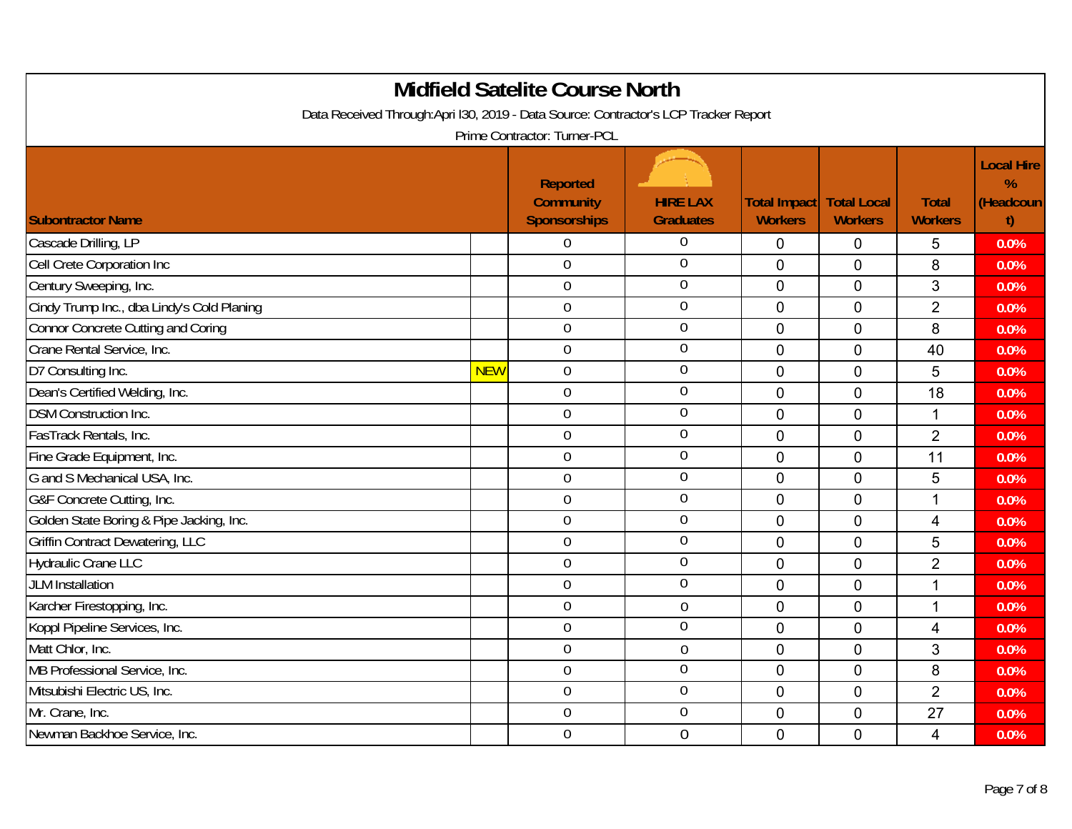| <b>Midfield Satelite Course North</b><br>Data Received Through:Apri I30, 2019 - Data Source: Contractor's LCP Tracker Report<br>Prime Contractor: Turner-PCL |            |                                                            |                                     |                                       |                                      |                                |                                           |  |  |
|--------------------------------------------------------------------------------------------------------------------------------------------------------------|------------|------------------------------------------------------------|-------------------------------------|---------------------------------------|--------------------------------------|--------------------------------|-------------------------------------------|--|--|
| <b>Subontractor Name</b>                                                                                                                                     |            | <b>Reported</b><br><b>Community</b><br><b>Sponsorships</b> | <b>HIRE LAX</b><br><b>Graduates</b> | <b>Total Impact</b><br><b>Workers</b> | <b>Total Local</b><br><b>Workers</b> | <b>Total</b><br><b>Workers</b> | <b>Local Hire</b><br>%<br>(Headcoun<br>t) |  |  |
| Cascade Drilling, LP                                                                                                                                         |            | $\Omega$                                                   | $\overline{0}$                      | $\overline{0}$                        | $\mathbf 0$                          | 5                              | 0.0%                                      |  |  |
| Cell Crete Corporation Inc                                                                                                                                   |            | $\overline{0}$                                             | $\overline{0}$                      | $\overline{0}$                        | 0                                    | 8                              | 0.0%                                      |  |  |
| Century Sweeping, Inc.                                                                                                                                       |            | $\boldsymbol{0}$                                           | $\overline{0}$                      | $\mathbf 0$                           | $\mathbf 0$                          | 3                              | 0.0%                                      |  |  |
| Cindy Trump Inc., dba Lindy's Cold Planing                                                                                                                   |            | $\mathbf 0$                                                | $\overline{0}$                      | $\overline{0}$                        | $\overline{0}$                       | $\overline{2}$                 | 0.0%                                      |  |  |
| Connor Concrete Cutting and Coring                                                                                                                           |            | $\overline{0}$                                             | $\overline{0}$                      | $\overline{0}$                        | 0                                    | 8                              | 0.0%                                      |  |  |
| Crane Rental Service, Inc.                                                                                                                                   |            | $\overline{0}$                                             | $0\,$                               | $\mathbf 0$                           | 0                                    | 40                             | 0.0%                                      |  |  |
| D7 Consulting Inc.                                                                                                                                           | <b>NEW</b> | $\mathbf 0$                                                | $\mathbf 0$                         | $\overline{0}$                        | $\overline{0}$                       | 5                              | 0.0%                                      |  |  |
| Dean's Certified Welding, Inc.                                                                                                                               |            | $\overline{0}$                                             | $\boldsymbol{0}$                    | $\mathbf 0$                           | 0                                    | 18                             | 0.0%                                      |  |  |
| <b>DSM Construction Inc.</b>                                                                                                                                 |            | $\mathbf 0$                                                | $0\,$                               | $\mathbf 0$                           | $\mathbf 0$                          | $\mathbf{1}$                   | 0.0%                                      |  |  |
| FasTrack Rentals, Inc.                                                                                                                                       |            | $\mathbf 0$                                                | $0\,$                               | $\overline{0}$                        | $\overline{0}$                       | $\overline{2}$                 | 0.0%                                      |  |  |
| Fine Grade Equipment, Inc.                                                                                                                                   |            | $\overline{0}$                                             | $\boldsymbol{0}$                    | $\mathbf 0$                           | 0                                    | 11                             | 0.0%                                      |  |  |
| G and S Mechanical USA, Inc.                                                                                                                                 |            | $\overline{0}$                                             | $\mathbf 0$                         | $\mathbf 0$                           | 0                                    | 5                              | 0.0%                                      |  |  |
| G&F Concrete Cutting, Inc.                                                                                                                                   |            | $\overline{0}$                                             | $\mathbf 0$                         | $\overline{0}$                        | $\overline{0}$                       | 1                              | 0.0%                                      |  |  |
| Golden State Boring & Pipe Jacking, Inc.                                                                                                                     |            | $\overline{0}$                                             | $\mathbf 0$                         | $\overline{0}$                        | 0                                    | 4                              | 0.0%                                      |  |  |
| <b>Griffin Contract Dewatering, LLC</b>                                                                                                                      |            | $\mathbf 0$                                                | $\boldsymbol{0}$                    | $\mathbf 0$                           | $\mathbf 0$                          | 5                              | 0.0%                                      |  |  |
| Hydraulic Crane LLC                                                                                                                                          |            | $\mathbf 0$                                                | $\overline{0}$                      | 0                                     | $\overline{0}$                       | $\overline{2}$                 | 0.0%                                      |  |  |
| <b>JLM</b> Installation                                                                                                                                      |            | $\overline{0}$                                             | $\overline{0}$                      | $\overline{0}$                        | 0                                    | $\mathbf{1}$                   | 0.0%                                      |  |  |
| Karcher Firestopping, Inc.                                                                                                                                   |            | $\overline{0}$                                             | $\boldsymbol{0}$                    | $\mathbf 0$                           | $\Omega$                             | 1                              | 0.0%                                      |  |  |
| Koppl Pipeline Services, Inc.                                                                                                                                |            | $\mathbf 0$                                                | $\boldsymbol{0}$                    | $\overline{0}$                        | $\overline{0}$                       | 4                              | 0.0%                                      |  |  |
| Matt Chlor, Inc.                                                                                                                                             |            | $\overline{0}$                                             | $\boldsymbol{0}$                    | $\overline{0}$                        | 0                                    | 3                              | 0.0%                                      |  |  |
| MB Professional Service, Inc.                                                                                                                                |            | $\mathbf 0$                                                | $\overline{0}$                      | $\pmb{0}$                             | $\overline{0}$                       | 8                              | 0.0%                                      |  |  |
| Mitsubishi Electric US, Inc.                                                                                                                                 |            | $\mathbf 0$                                                | $\boldsymbol{0}$                    | $\mathbf 0$                           | $\overline{0}$                       | $\overline{2}$                 | 0.0%                                      |  |  |
| Mr. Crane, Inc.                                                                                                                                              |            | $\overline{0}$                                             | $\mathbf 0$                         | $\mathbf 0$                           | 0                                    | 27                             | 0.0%                                      |  |  |
| Newman Backhoe Service, Inc.                                                                                                                                 |            | $\overline{0}$                                             | $\overline{0}$                      | $\overline{0}$                        | $\Omega$                             | $\overline{4}$                 | 0.0%                                      |  |  |